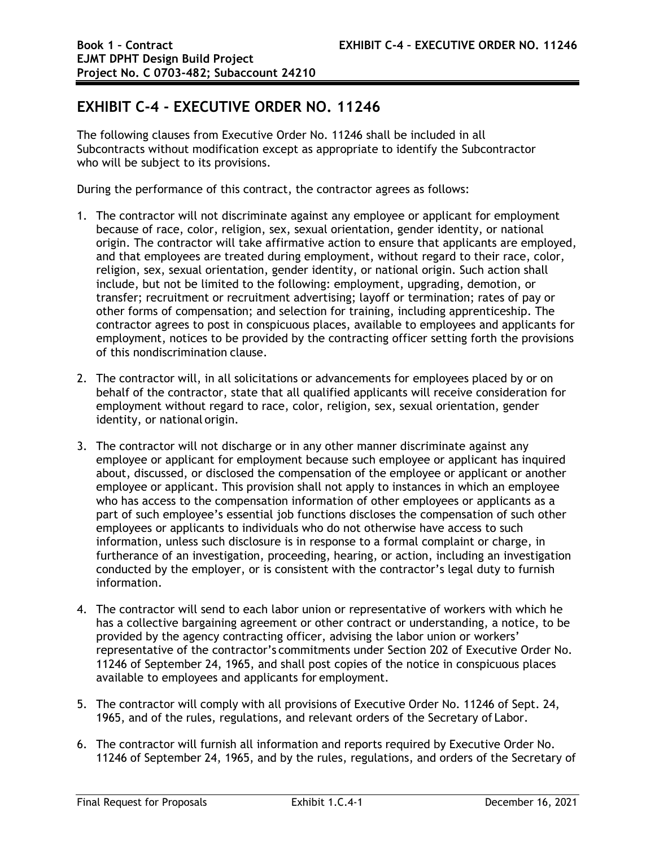## **EXHIBIT C-4 - EXECUTIVE ORDER NO. 11246**

The following clauses from Executive Order No. 11246 shall be included in all Subcontracts without modification except as appropriate to identify the Subcontractor who will be subject to its provisions.

During the performance of this contract, the contractor agrees as follows:

- 1. The contractor will not discriminate against any employee or applicant for employment because of race, color, religion, sex, sexual orientation, gender identity, or national origin. The contractor will take affirmative action to ensure that applicants are employed, and that employees are treated during employment, without regard to their race, color, religion, sex, sexual orientation, gender identity, or national origin. Such action shall include, but not be limited to the following: employment, upgrading, demotion, or transfer; recruitment or recruitment advertising; layoff or termination; rates of pay or other forms of compensation; and selection for training, including apprenticeship. The contractor agrees to post in conspicuous places, available to employees and applicants for employment, notices to be provided by the contracting officer setting forth the provisions of this nondiscrimination clause.
- 2. The contractor will, in all solicitations or advancements for employees placed by or on behalf of the contractor, state that all qualified applicants will receive consideration for employment without regard to race, color, religion, sex, sexual orientation, gender identity, or national origin.
- 3. The contractor will not discharge or in any other manner discriminate against any employee or applicant for employment because such employee or applicant has inquired about, discussed, or disclosed the compensation of the employee or applicant or another employee or applicant. This provision shall not apply to instances in which an employee who has access to the compensation information of other employees or applicants as a part of such employee's essential job functions discloses the compensation of such other employees or applicants to individuals who do not otherwise have access to such information, unless such disclosure is in response to a formal complaint or charge, in furtherance of an investigation, proceeding, hearing, or action, including an investigation conducted by the employer, or is consistent with the contractor's legal duty to furnish information.
- 4. The contractor will send to each labor union or representative of workers with which he has a collective bargaining agreement or other contract or understanding, a notice, to be provided by the agency contracting officer, advising the labor union or workers' representative of the contractor's commitments under Section 202 of Executive Order No. 11246 of September 24, 1965, and shall post copies of the notice in conspicuous places available to employees and applicants for employment.
- 5. The contractor will comply with all provisions of Executive Order No. 11246 of Sept. 24, 1965, and of the rules, regulations, and relevant orders of the Secretary of Labor.
- 6. The contractor will furnish all information and reports required by Executive Order No. 11246 of September 24, 1965, and by the rules, regulations, and orders of the Secretary of